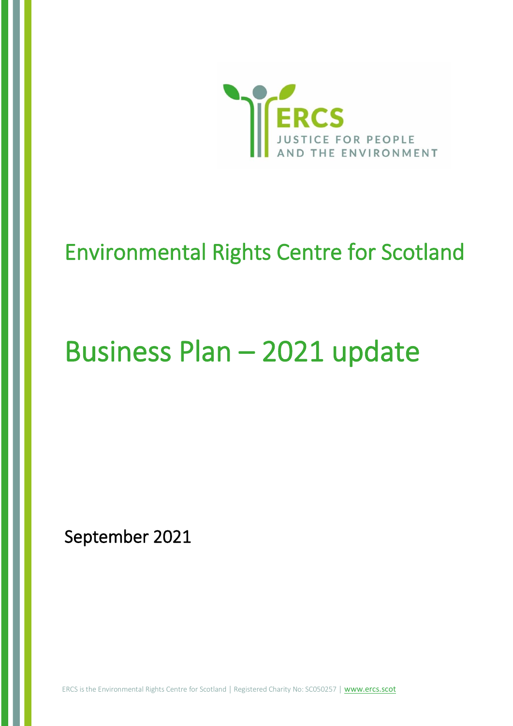

## Environmental Rights Centre for Scotland

# Business Plan – 2021 update

September 2021

ERCS is the Environmental Rights Centre for Scotland | Registered Charity No: SC050257 | [www.ercs.scot](http://www.ercs.scot/)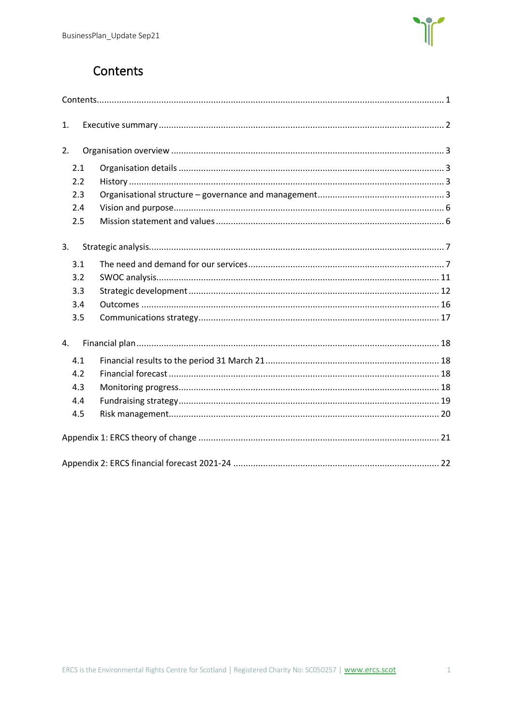

## Contents

<span id="page-1-0"></span>

| 1.  |  |
|-----|--|
| 2.  |  |
| 2.1 |  |
| 2.2 |  |
| 2.3 |  |
| 2.4 |  |
| 2.5 |  |
| 3.  |  |
| 3.1 |  |
| 3.2 |  |
| 3.3 |  |
| 3.4 |  |
| 3.5 |  |
| 4.  |  |
| 4.1 |  |
| 4.2 |  |
| 4.3 |  |
| 4.4 |  |
| 4.5 |  |
|     |  |
|     |  |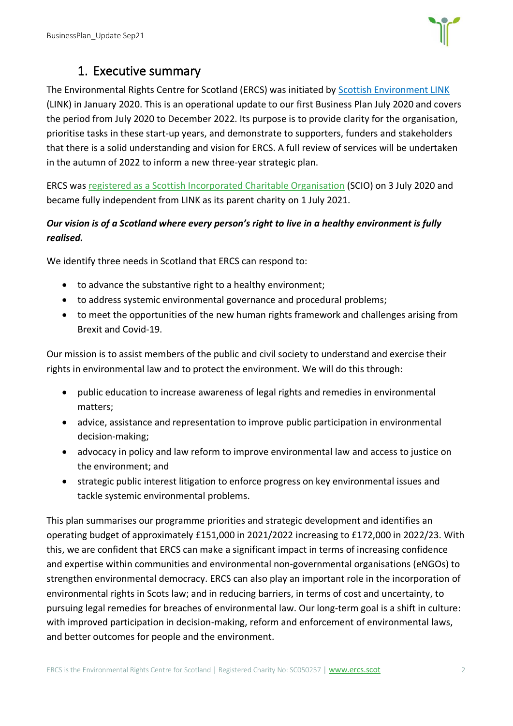

## 1. Executive summary

<span id="page-2-0"></span>The Environmental Rights Centre for Scotland (ERCS) was initiated by [Scottish Environment LINK](http://www.scotlink.org/) (LINK) in January 2020. This is an operational update to our first Business Plan July 2020 and covers the period from July 2020 to December 2022. Its purpose is to provide clarity for the organisation, prioritise tasks in these start-up years, and demonstrate to supporters, funders and stakeholders that there is a solid understanding and vision for ERCS. A full review of services will be undertaken in the autumn of 2022 to inform a new three-year strategic plan.

ERCS was [registered as a Scottish Incorporated Charitable Organisation](https://www.oscr.org.uk/about-charities/search-the-register/charity-details?number=50257) (SCIO) on 3 July 2020 and became fully independent from LINK as its parent charity on 1 July 2021.

#### *Our vision is of a Scotland where every person's right to live in a healthy environment is fully realised.*

We identify three needs in Scotland that ERCS can respond to:

- to advance the substantive right to a healthy environment;
- to address systemic environmental governance and procedural problems;
- to meet the opportunities of the new human rights framework and challenges arising from Brexit and Covid-19.

Our mission is to assist members of the public and civil society to understand and exercise their rights in environmental law and to protect the environment. We will do this through:

- public education to increase awareness of legal rights and remedies in environmental matters;
- advice, assistance and representation to improve public participation in environmental decision-making;
- advocacy in policy and law reform to improve environmental law and access to justice on the environment; and
- strategic public interest litigation to enforce progress on key environmental issues and tackle systemic environmental problems.

This plan summarises our programme priorities and strategic development and identifies an operating budget of approximately £151,000 in 2021/2022 increasing to £172,000 in 2022/23. With this, we are confident that ERCS can make a significant impact in terms of increasing confidence and expertise within communities and environmental non-governmental organisations (eNGOs) to strengthen environmental democracy. ERCS can also play an important role in the incorporation of environmental rights in Scots law; and in reducing barriers, in terms of cost and uncertainty, to pursuing legal remedies for breaches of environmental law. Our long-term goal is a shift in culture: with improved participation in decision-making, reform and enforcement of environmental laws, and better outcomes for people and the environment.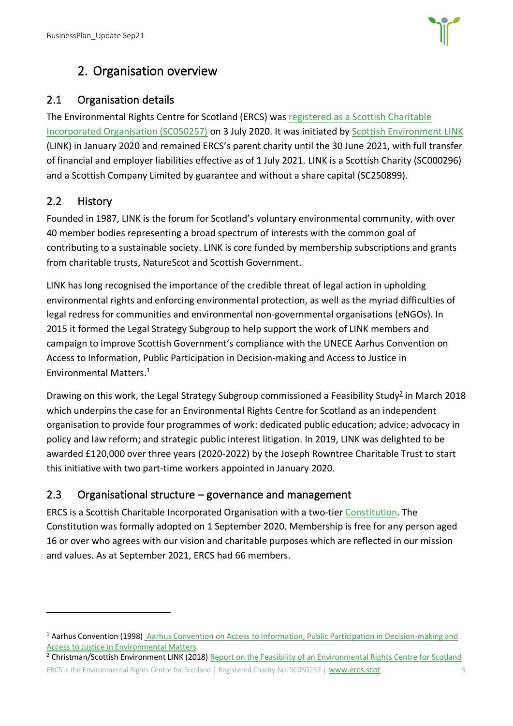

## 2. Organisation overview

## <span id="page-3-1"></span><span id="page-3-0"></span>2.1 Organisation details

The Environmental Rights Centre for Scotland (ERCS) was [registered as a Scottish Charitable](https://www.oscr.org.uk/about-charities/search-the-register/charity-details?number=50257)  [Incorporated Organisation \(SC050257\)](https://www.oscr.org.uk/about-charities/search-the-register/charity-details?number=50257) on 3 July 2020. It was initiated by [Scottish Environment LINK](http://www.scotlink.org/) (LINK) in January 2020 and remained ERCS's parent charity until the 30 June 2021, with full transfer of financial and employer liabilities effective as of 1 July 2021. LINK is a Scottish Charity (SC000296) and a Scottish Company Limited by guarantee and without a share capital (SC250899).

## <span id="page-3-2"></span>2.2 History

Founded in 1987, LINK is the forum for Scotland's voluntary environmental community, with over 40 member bodies representing a broad spectrum of interests with the common goal of contributing to a sustainable society. LINK is core funded by membership subscriptions and grants from charitable trusts, NatureScot and Scottish Government.

LINK has long recognised the importance of the credible threat of legal action in upholding environmental rights and enforcing environmental protection, as well as the myriad difficulties of legal redress for communities and environmental non-governmental organisations (eNGOs). In 2015 it formed the Legal Strategy Subgroup to help support the work of LINK members and campaign to improve Scottish Government's compliance with the UNECE Aarhus Convention on Access to Information, Public Participation in Decision-making and Access to Justice in Environmental Matters. 1

Drawing on this work, the Legal Strategy Subgroup commissioned a Feasibility Study<sup>2</sup> in March 2018 which underpins the case for an Environmental Rights Centre for Scotland as an independent organisation to provide four programmes of work: dedicated public education; advice; advocacy in policy and law reform; and strategic public interest litigation. In 2019, LINK was delighted to be awarded £120,000 over three years (2020-2022) by the Joseph Rowntree Charitable Trust to start this initiative with two part-time workers appointed in January 2020.

## <span id="page-3-3"></span>2.3 Organisational structure – governance and management

ERCS is a Scottish Charitable Incorporated Organisation with a [two-tier Constitution.](chrome-extension://efaidnbmnnnibpcajpcglclefindmkaj/viewer.html?pdfurl=https%3A%2F%2Fwww.ercs.scot%2Fwp%2Fwp-content%2Fuploads%2F2020%2F09%2FERCS-Constitution_May2020_signature_200901.pdf&clen=251657&chunk=true) The Constitution was formally adopted on 1 September 2020. Membership is free for any person aged 16 or over who agrees with our vision and charitable purposes which are reflected in our mission and values. As at September 2021, ERCS had 66 members.

<sup>&</sup>lt;sup>1</sup> Aarhus Convention (1998) Aarhus Convention on Access to Information, Public Participation in Decision-making and [Access to Justice in Environmental Matters](https://unece.org/fileadmin/DAM/env/pp/documents/cep43e.pdf)

ERCS is the Environmental Rights Centre for Scotland | Registered Charity No: SC050257 | [www.ercs.scot](http://www.ercs.scot/) 3 3 <sup>2</sup> Christman/Scottish Environment LINK (2018) [Report on the Feasibility of an Environmental Rights Centre for Scotland](https://www.ercs.scot/wp/wp-content/uploads/2020/08/Report-on-the-Feasibility-of-an-Environmental-Rights-centre-Scotland.pdf)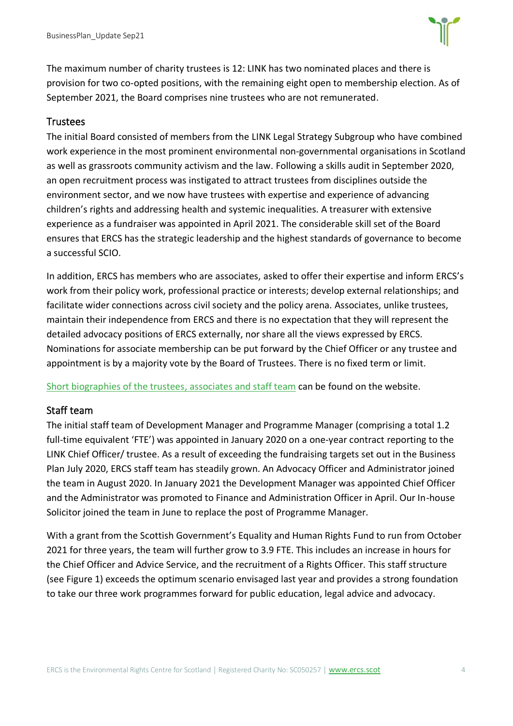

The maximum number of charity trustees is 12: LINK has two nominated places and there is provision for two co-opted positions, with the remaining eight open to membership election. As of September 2021, the Board comprises nine trustees who are not remunerated.

#### **Trustees**

The initial Board consisted of members from the LINK Legal Strategy Subgroup who have combined work experience in the most prominent environmental non-governmental organisations in Scotland as well as grassroots community activism and the law. Following a skills audit in September 2020, an open recruitment process was instigated to attract trustees from disciplines outside the environment sector, and we now have trustees with expertise and experience of advancing children's rights and addressing health and systemic inequalities. A treasurer with extensive experience as a fundraiser was appointed in April 2021. The considerable skill set of the Board ensures that ERCS has the strategic leadership and the highest standards of governance to become a successful SCIO.

In addition, ERCS has members who are associates, asked to offer their expertise and inform ERCS's work from their policy work, professional practice or interests; develop external relationships; and facilitate wider connections across civil society and the policy arena. Associates, unlike trustees, maintain their independence from ERCS and there is no expectation that they will represent the detailed advocacy positions of ERCS externally, nor share all the views expressed by ERCS. Nominations for associate membership can be put forward by the Chief Officer or any trustee and appointment is by a majority vote by the Board of Trustees. There is no fixed term or limit.

[Short biographies of the trustees, associates and staff team](https://www.ercs.scot/who-we-are/our-people/) can be found on the website.

#### Staff team

The initial staff team of Development Manager and Programme Manager (comprising a total 1.2 full-time equivalent 'FTE') was appointed in January 2020 on a one-year contract reporting to the LINK Chief Officer/ trustee. As a result of exceeding the fundraising targets set out in the Business Plan July 2020, ERCS staff team has steadily grown. An Advocacy Officer and Administrator joined the team in August 2020. In January 2021 the Development Manager was appointed Chief Officer and the Administrator was promoted to Finance and Administration Officer in April. Our In-house Solicitor joined the team in June to replace the post of Programme Manager.

With a grant from the Scottish Government's Equality and Human Rights Fund to run from October 2021 for three years, the team will further grow to 3.9 FTE. This includes an increase in hours for the Chief Officer and Advice Service, and the recruitment of a Rights Officer. This staff structure (see Figure 1) exceeds the optimum scenario envisaged last year and provides a strong foundation to take our three work programmes forward for public education, legal advice and advocacy.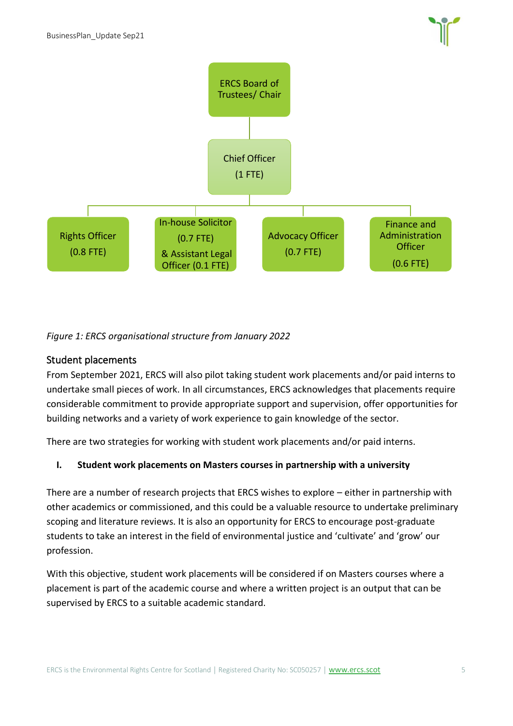

#### *Figure 1: ERCS organisational structure from January 2022*

#### Student placements

From September 2021, ERCS will also pilot taking student work placements and/or paid interns to undertake small pieces of work. In all circumstances, ERCS acknowledges that placements require considerable commitment to provide appropriate support and supervision, offer opportunities for building networks and a variety of work experience to gain knowledge of the sector.

There are two strategies for working with student work placements and/or paid interns.

#### **I. Student work placements on Masters courses in partnership with a university**

There are a number of research projects that ERCS wishes to explore – either in partnership with other academics or commissioned, and this could be a valuable resource to undertake preliminary scoping and literature reviews. It is also an opportunity for ERCS to encourage post-graduate students to take an interest in the field of environmental justice and 'cultivate' and 'grow' our profession.

With this objective, student work placements will be considered if on Masters courses where a placement is part of the academic course and where a written project is an output that can be supervised by ERCS to a suitable academic standard.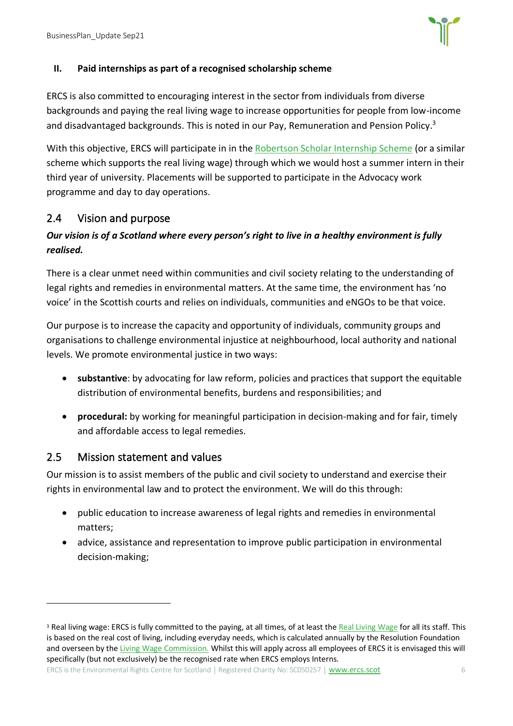

#### **II. Paid internships as part of a recognised scholarship scheme**

ERCS is also committed to encouraging interest in the sector from individuals from diverse backgrounds and paying the real living wage to increase opportunities for people from low-income and disadvantaged backgrounds. This is noted in our Pay, Remuneration and Pension Policy.<sup>3</sup>

With this objective, ERCS will participate in in the [Robertson Scholar Internship Scheme](https://www.therobertsontrust.org.uk/news-and-blogs/hosts-sought-for-summer-2021-internship/) (or a similar scheme which supports the real living wage) through which we would host a summer intern in their third year of university. Placements will be supported to participate in the Advocacy work programme and day to day operations.

#### <span id="page-6-0"></span>2.4 Vision and purpose

#### *Our vision is of a Scotland where every person's right to live in a healthy environment is fully realised.*

There is a clear unmet need within communities and civil society relating to the understanding of legal rights and remedies in environmental matters. At the same time, the environment has 'no voice' in the Scottish courts and relies on individuals, communities and eNGOs to be that voice.

Our purpose is to increase the capacity and opportunity of individuals, community groups and organisations to challenge environmental injustice at neighbourhood, local authority and national levels. We promote environmental justice in two ways:

- **substantive**: by advocating for law reform, policies and practices that support the equitable distribution of environmental benefits, burdens and responsibilities; and
- **procedural:** by working for meaningful participation in decision-making and for fair, timely and affordable access to legal remedies.

#### <span id="page-6-1"></span>2.5 Mission statement and values

Our mission is to assist members of the public and civil society to understand and exercise their rights in environmental law and to protect the environment. We will do this through:

- public education to increase awareness of legal rights and remedies in environmental matters;
- advice, assistance and representation to improve public participation in environmental decision-making;

<sup>&</sup>lt;sup>3</sup> Real living wage: ERCS is fully committed to the paying, at all times, of at least the [Real Living Wage](https://www.livingwage.org.uk/what-real-living-wage) for all its staff. This is based on the real cost of living, including everyday needs, which is calculated annually by the Resolution Foundation and overseen by th[e Living Wage Commission.](https://www.livingwage.org.uk/living-wage-commission) Whilst this will apply across all employees of ERCS it is envisaged this will specifically (but not exclusively) be the recognised rate when ERCS employs Interns.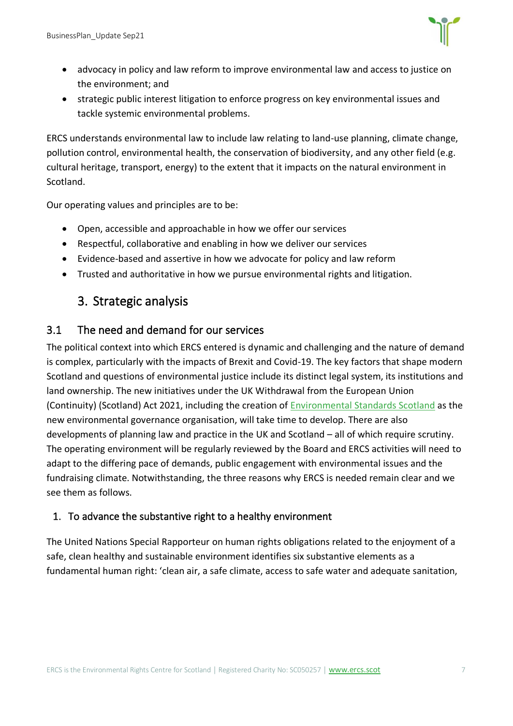

- advocacy in policy and law reform to improve environmental law and access to justice on the environment; and
- strategic public interest litigation to enforce progress on key environmental issues and tackle systemic environmental problems.

ERCS understands environmental law to include law relating to land-use planning, climate change, pollution control, environmental health, the conservation of biodiversity, and any other field (e.g. cultural heritage, transport, energy) to the extent that it impacts on the natural environment in Scotland.

Our operating values and principles are to be:

- Open, accessible and approachable in how we offer our services
- Respectful, collaborative and enabling in how we deliver our services
- Evidence-based and assertive in how we advocate for policy and law reform
- <span id="page-7-0"></span>• Trusted and authoritative in how we pursue environmental rights and litigation.

## 3. Strategic analysis

#### <span id="page-7-1"></span>3.1 The need and demand for our services

The political context into which ERCS entered is dynamic and challenging and the nature of demand is complex, particularly with the impacts of Brexit and Covid-19. The key factors that shape modern Scotland and questions of environmental justice include its distinct legal system, its institutions and land ownership. The new initiatives under the UK Withdrawal from the European Union (Continuity) (Scotland) Act 2021, including the creation of [Environmental Standards Scotland](https://environmentalstandards.scot/) as the new environmental governance organisation, will take time to develop. There are also developments of planning law and practice in the UK and Scotland – all of which require scrutiny. The operating environment will be regularly reviewed by the Board and ERCS activities will need to adapt to the differing pace of demands, public engagement with environmental issues and the fundraising climate. Notwithstanding, the three reasons why ERCS is needed remain clear and we see them as follows.

#### 1. To advance the substantive right to a healthy environment

The United Nations Special Rapporteur on human rights obligations related to the enjoyment of a safe, clean healthy and sustainable environment identifies six substantive elements as a fundamental human right: 'clean air, a safe climate, access to safe water and adequate sanitation,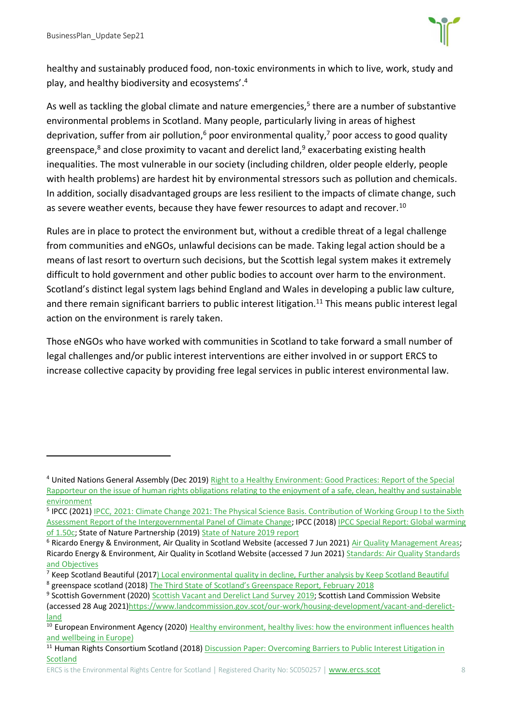

healthy and sustainably produced food, non-toxic environments in which to live, work, study and play, and healthy biodiversity and ecosystems'. 4

As well as tackling the global climate and nature emergencies,<sup>5</sup> there are a number of substantive environmental problems in Scotland. Many people, particularly living in areas of highest deprivation, suffer from air pollution,<sup>6</sup> poor environmental quality,<sup>7</sup> poor access to good quality greenspace,<sup>8</sup> and close proximity to vacant and derelict land,<sup>9</sup> exacerbating existing health inequalities. The most vulnerable in our society (including children, older people elderly, people with health problems) are hardest hit by environmental stressors such as pollution and chemicals. In addition, socially disadvantaged groups are less resilient to the impacts of climate change, such as severe weather events, because they have fewer resources to adapt and recover.<sup>10</sup>

Rules are in place to protect the environment but, without a credible threat of a legal challenge from communities and eNGOs, unlawful decisions can be made. Taking legal action should be a means of last resort to overturn such decisions, but the Scottish legal system makes it extremely difficult to hold government and other public bodies to account over harm to the environment. Scotland's distinct legal system lags behind England and Wales in developing a public law culture, and there remain significant barriers to public interest litigation.<sup>11</sup> This means public interest legal action on the environment is rarely taken.

Those eNGOs who have worked with communities in Scotland to take forward a small number of legal challenges and/or public interest interventions are either involved in or support ERCS to increase collective capacity by providing free legal services in public interest environmental law.

<sup>4</sup> United Nations General Assembly (Dec 2019[\) Right to a Healthy Environment: Good Practices: Report of the Special](https://undocs.org/A/HRC/43/53)  [Rapporteur on the issue of human rights obligations relating to the enjoyment of a safe, clean, healthy and sustainable](https://undocs.org/A/HRC/43/53)  [environment](https://undocs.org/A/HRC/43/53)

<sup>&</sup>lt;sup>5</sup> IPCC (2021) IPCC, 2021: Climate Change 2021: The Physical Science Basis. Contribution of Working Group I to the Sixth [Assessment Report of the Intergovernmental Panel of Climate Change;](https://www.ipcc.ch/report/ar6/wg1/) IPCC (2018[\) IPCC Special Report: Global warming](https://www.ipcc.ch/sr15/)  [of 1.50c;](https://www.ipcc.ch/sr15/) State of Nature Partnership (2019) [State of Nature 2019 report](https://nbn.org.uk/stateofnature2019/reports/)

<sup>&</sup>lt;sup>6</sup> Ricardo Energy & Environment, Air Quality in Scotland Website (accessed 7 Jun 2021) [Air Quality Management Areas;](http://www.scottishairquality.scot/laqm/aqma) Ricardo Energy & Environment, Air Quality in Scotland Website (accessed 7 Jun 2021) Standards: Air Quality Standards [and Objectives](http://www.scottishairquality.scot/air-quality/standards)

<sup>&</sup>lt;sup>7</sup> Keep Scotland Beautiful (2017[\) Local environmental quality in decline, Further analysis by Keep Scotland Beautiful](https://www.keepscotlandbeautiful.org/media/1560107/leq-in-decline-report-oct-2017-final-131017.pdf) <sup>8</sup> greenspace scotland (2018) [The Third State of Scotland's Greenspace Report, February 2018](https://drive.google.com/file/d/1aQLMu60G5WRi4QKBCuZJ92oT8eM2sxd3/view)

<sup>&</sup>lt;sup>9</sup> Scottish Government (2020[\) Scottish Vacant and Derelict Land Survey 2019;](https://www.gov.scot/publications/scottish-vacant-derelict-land-survey-2019/pages/13/) Scottish Land Commission Website (accessed 28 Aug 2021[\)https://www.landcommission.gov.scot/our-work/housing-development/vacant-and-derelict](https://www.landcommission.gov.scot/our-work/housing-development/vacant-and-derelict-land)[land](https://www.landcommission.gov.scot/our-work/housing-development/vacant-and-derelict-land)

<sup>&</sup>lt;sup>10</sup> European Environment Agency (2020) Healthy environment, healthy lives: how the environment influences health [and wellbeing in Europe\)](https://www.eea.europa.eu/publications/healthy-environment-healthy-lives)

<sup>&</sup>lt;sup>11</sup> Human Rights Consortium Scotland (2018) Discussion Paper: Overcoming Barriers to Public Interest Litigation in [Scotland](https://foe.scot/wp-content/uploads/2018/11/Final-Overcoming-Barriers-to-PIL-in-Scotlnd-web-version.pdf)

ERCS is the Environmental Rights Centre for Scotland | Registered Charity No: SC050257 | [www.ercs.scot](http://www.ercs.scot/) 8 8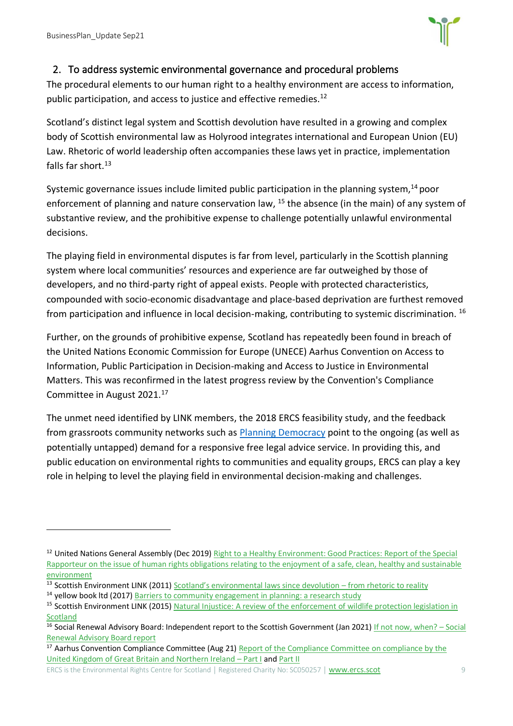

#### 2. To address systemic environmental governance and procedural problems

The procedural elements to our human right to a healthy environment are access to information, public participation, and access to justice and effective remedies.<sup>12</sup>

Scotland's distinct legal system and Scottish devolution have resulted in a growing and complex body of Scottish environmental law as Holyrood integrates international and European Union (EU) Law. Rhetoric of world leadership often accompanies these laws yet in practice, implementation falls far short.<sup>13</sup>

Systemic governance issues include limited public participation in the planning system,  $14$  poor enforcement of planning and nature conservation law, <sup>15</sup> the absence (in the main) of any system of substantive review, and the prohibitive expense to challenge potentially unlawful environmental decisions.

The playing field in environmental disputes is far from level, particularly in the Scottish planning system where local communities' resources and experience are far outweighed by those of developers, and no third-party right of appeal exists. People with protected characteristics, compounded with socio-economic disadvantage and place-based deprivation are furthest removed from participation and influence in local decision-making, contributing to systemic discrimination.  $^{16}$ 

Further, on the grounds of prohibitive expense, Scotland has repeatedly been found in breach of the United Nations Economic Commission for Europe (UNECE) Aarhus Convention on Access to Information, Public Participation in Decision-making and Access to Justice in Environmental Matters. This was reconfirmed in the latest progress review by the Convention's Compliance Committee in August 2021.<sup>17</sup>

The unmet need identified by LINK members, the 2018 ERCS feasibility study, and the feedback from grassroots community networks such as [Planning Democracy](https://www.planningdemocracy.org.uk/) point to the ongoing (as well as potentially untapped) demand for a responsive free legal advice service. In providing this, and public education on environmental rights to communities and equality groups, ERCS can play a key role in helping to level the playing field in environmental decision-making and challenges.

<sup>&</sup>lt;sup>12</sup> United Nations General Assembly (Dec 2019) Right to a Healthy Environment: Good Practices: Report of the Special [Rapporteur on the issue of human rights obligations relating to the enjoyment of a safe, clean, healthy and sustainable](https://undocs.org/A/HRC/43/53)  [environment](https://undocs.org/A/HRC/43/53)

<sup>13</sup> Scottish Environment LINK (2011) Scotland's environmental laws since devolution - from rhetoric to reality

<sup>&</sup>lt;sup>14</sup> yellow book ltd (2017) [Barriers to community engagement in planning: a research study](https://www.gov.scot/binaries/content/documents/govscot/publications/factsheet/2017/05/barriers-to-community-engagement-in-planning-research/documents/barriers-community-engagement-planning-research-study-pdf/barriers-community-engagement-planning-research-study-pdf/govscot:document/Barriers%20to%20community%20engagement%20in%20planning%20-%20a%20research%20study.pdf)

<sup>&</sup>lt;sup>15</sup> Scottish Environment LINK (2015) Natural Injustice: A review of the enforcement of wildlife protection legislation in **[Scotland](https://www.scotlink.org/files/documents/Natural-Injustice-paper1-FINAL.pdf)** 

<sup>&</sup>lt;sup>16</sup> Social Renewal Advisory Board: Independent report to the Scottish Government (Jan 2021) [If not now, when?](https://www.gov.scot/publications/not-now-social-renewal-advisory-board-report-january-2021/pages/2/) - Social [Renewal Advisory Board report](https://www.gov.scot/publications/not-now-social-renewal-advisory-board-report-january-2021/pages/2/)

<sup>&</sup>lt;sup>17</sup> Aarhus Convention Compliance Committee (Aug 21) Report of the Compliance Committee on compliance by the [United Kingdom of Great Britain and Northern Ireland](https://unece.org/sites/default/files/2021-08/VI.8k_UK_report_to_MOP7_part_I_advance_unedited.pdf) – Part I and [Part II](https://unece.org/sites/default/files/2021-08/VI.8k_UK_report_to_MOP7_part_II_advance_unedited.pdf)

ERCS is the Environmental Rights Centre for Scotland | Registered Charity No: SC050257 | [www.ercs.scot](http://www.ercs.scot/) 9 9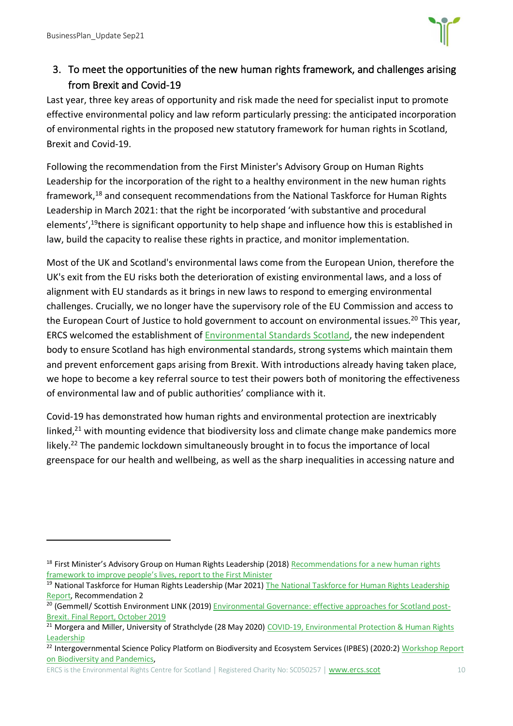

3. To meet the opportunities of the new human rights framework, and challenges arising from Brexit and Covid-19

Last year, three key areas of opportunity and risk made the need for specialist input to promote effective environmental policy and law reform particularly pressing: the anticipated incorporation of environmental rights in the proposed new statutory framework for human rights in Scotland, Brexit and Covid-19.

Following the recommendation from the First Minister's Advisory Group on Human Rights Leadership for the incorporation of the right to a healthy environment in the new human rights framework,<sup>18</sup> and consequent recommendations from the National Taskforce for Human Rights Leadership in March 2021: that the right be incorporated 'with substantive and procedural elements',<sup>19</sup>there is significant opportunity to help shape and influence how this is established in law, build the capacity to realise these rights in practice, and monitor implementation.

Most of the UK and Scotland's environmental laws come from the European Union, therefore the UK's exit from the EU risks both the deterioration of existing environmental laws, and a loss of alignment with EU standards as it brings in new laws to respond to emerging environmental challenges. Crucially, we no longer have the supervisory role of the EU Commission and access to the European Court of Justice to hold government to account on environmental issues.<sup>20</sup> This year, ERCS welcomed the establishment of [Environmental Standards Scotland,](https://environmentalstandards.scot/) the new independent body to ensure Scotland has high environmental standards, strong systems which maintain them and prevent enforcement gaps arising from Brexit. With introductions already having taken place, we hope to become a key referral source to test their powers both of monitoring the effectiveness of environmental law and of public authorities' compliance with it.

Covid-19 has demonstrated how human rights and environmental protection are inextricably linked,<sup>21</sup> with mounting evidence that biodiversity loss and climate change make pandemics more likely.<sup>22</sup> The pandemic lockdown simultaneously brought in to focus the importance of local greenspace for our health and wellbeing, as well as the sharp inequalities in accessing nature and

<sup>&</sup>lt;sup>18</sup> First Minister's Advisory Group on Human Rights Leadership (2018) Recommendations for a new human rights [framework to improve people's lives, report to the First Minister](https://humanrightsleadership.scot/wp-content/uploads/2018/12/First-Ministers-Advisory-Group-on-Human-Rights-Leadership-Final-report-for-publication.pdf)

<sup>&</sup>lt;sup>19</sup> National Taskforce for Human Rights Leadership (Mar 2021) The National Taskforce for Human Rights Leadership [Report,](https://www.gov.scot/binaries/content/documents/govscot/publications/independent-report/2021/03/national-taskforce-human-rights-leadership-report/documents/national-taskforce-human-rights-leadership-report/national-taskforce-human-rights-leadership-report/govscot%3Adocument/national-taskforce-human-rights-leadership-report.pdf) Recommendation 2

<sup>&</sup>lt;sup>20</sup> (Gemmell/ Scottish Environment LINK (2019[\) Environmental Governance: effective approaches for Scotland post-](https://www.scotlink.org/wp-content/uploads/2019/12/REPORT-Environmental-Governance-effective-approaches-for-Scotland-post-Brexit-OCT-2019.pdf)[Brexit. Final Report, October 2019](https://www.scotlink.org/wp-content/uploads/2019/12/REPORT-Environmental-Governance-effective-approaches-for-Scotland-post-Brexit-OCT-2019.pdf)

<sup>&</sup>lt;sup>21</sup> Morgera and Miller, University of Strathclyde (28 May 2020) COVID-19, Environmental Protection & Human Rights [Leadership](https://www.strath.ac.uk/humanities/lawschool/blog/covid-19environmentalprotectionhumanrightsleadership/)

<sup>&</sup>lt;sup>22</sup> Intergovernmental Science Policy Platform on Biodiversity and Ecosystem Services (IPBES) (2020:2) Workshop Report [on Biodiversity and Pandemics,](https://ipbes.net/sites/default/files/2020-12/IPBES%20Workshop%20on%20Biodiversity%20and%20Pandemics%20Report_0.pdf)

ERCS is the Environmental Rights Centre for Scotland | Registered Charity No: SC050257 | [www.ercs.scot](http://www.ercs.scot/) 10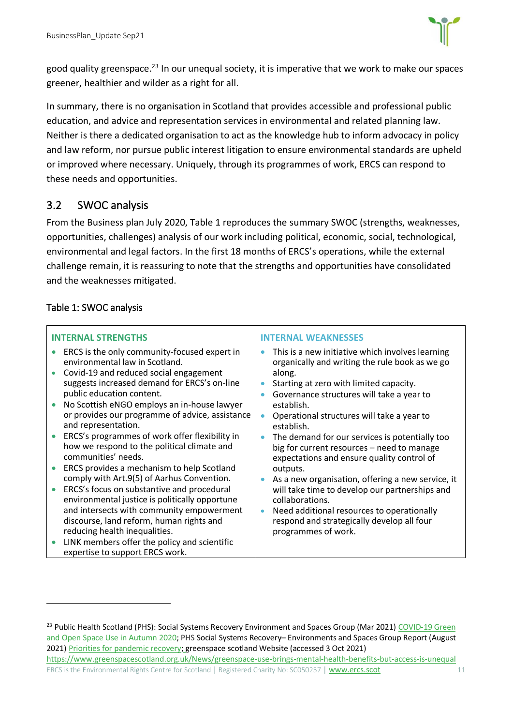

good quality greenspace.<sup>23</sup> In our unequal society, it is imperative that we work to make our spaces greener, healthier and wilder as a right for all.

In summary, there is no organisation in Scotland that provides accessible and professional public education, and advice and representation services in environmental and related planning law. Neither is there a dedicated organisation to act as the knowledge hub to inform advocacy in policy and law reform, nor pursue public interest litigation to ensure environmental standards are upheld or improved where necessary. Uniquely, through its programmes of work, ERCS can respond to these needs and opportunities.

#### <span id="page-11-0"></span>3.2 SWOC analysis

From the Business plan July 2020, Table 1 reproduces the summary SWOC (strengths, weaknesses, opportunities, challenges) analysis of our work including political, economic, social, technological, environmental and legal factors. In the first 18 months of ERCS's operations, while the external challenge remain, it is reassuring to note that the strengths and opportunities have consolidated and the weaknesses mitigated.

#### Table 1: SWOC analysis

| <b>INTERNAL STRENGTHS</b>                                                                                                                                                                                                                                                                                                                                                                                                                                                                                                                                                                                                                                                                                                                                                                                                                                       | <b>INTERNAL WEAKNESSES</b>                                                                                                                                                                                                                                                                                                                                                                                                                                                                                                                                                                                                                                                            |  |  |  |
|-----------------------------------------------------------------------------------------------------------------------------------------------------------------------------------------------------------------------------------------------------------------------------------------------------------------------------------------------------------------------------------------------------------------------------------------------------------------------------------------------------------------------------------------------------------------------------------------------------------------------------------------------------------------------------------------------------------------------------------------------------------------------------------------------------------------------------------------------------------------|---------------------------------------------------------------------------------------------------------------------------------------------------------------------------------------------------------------------------------------------------------------------------------------------------------------------------------------------------------------------------------------------------------------------------------------------------------------------------------------------------------------------------------------------------------------------------------------------------------------------------------------------------------------------------------------|--|--|--|
| ERCS is the only community-focused expert in<br>environmental law in Scotland.<br>Covid-19 and reduced social engagement<br>suggests increased demand for ERCS's on-line<br>public education content.<br>No Scottish eNGO employs an in-house lawyer<br>or provides our programme of advice, assistance<br>and representation.<br>ERCS's programmes of work offer flexibility in<br>how we respond to the political climate and<br>communities' needs.<br>ERCS provides a mechanism to help Scotland<br>comply with Art.9(5) of Aarhus Convention.<br>ERCS's focus on substantive and procedural<br>environmental justice is politically opportune<br>and intersects with community empowerment<br>discourse, land reform, human rights and<br>reducing health inequalities.<br>LINK members offer the policy and scientific<br>expertise to support ERCS work. | This is a new initiative which involves learning<br>organically and writing the rule book as we go<br>along.<br>Starting at zero with limited capacity.<br>Governance structures will take a year to<br>establish.<br>Operational structures will take a year to<br>establish.<br>The demand for our services is potentially too<br>big for current resources - need to manage<br>expectations and ensure quality control of<br>outputs.<br>As a new organisation, offering a new service, it<br>will take time to develop our partnerships and<br>collaborations.<br>Need additional resources to operationally<br>respond and strategically develop all four<br>programmes of work. |  |  |  |

<sup>&</sup>lt;sup>23</sup> Public Health Scotland (PHS): Social Systems Recovery Environment and Spaces Group (Mar 2021) COVID-19 Green [and Open Space Use in Autumn 2020;](https://www.gla.ac.uk/media/Media_779126_smxx.pdf) PHS Social Systems Recovery– Environments and Spaces Group Report (August 2021[\) Priorities for pandemic recovery;](chrome-extension://efaidnbmnnnibpcajpcglclefindmkaj/viewer.html?pdfurl=https%3A%2F%2Fwww.gla.ac.uk%2Fmedia%2FMedia_805950_smxx.pdf&clen=821059&chunk=true) greenspace scotland Website (accessed 3 Oct 2021) https://www.greenspacescotland.org.uk/News/greenspace-use-brings-mental-health-benefits-but-access-is-unequal

ERCS is the Environmental Rights Centre for Scotland | Registered Charity No: SC050257 | [www.ercs.scot](http://www.ercs.scot/) 11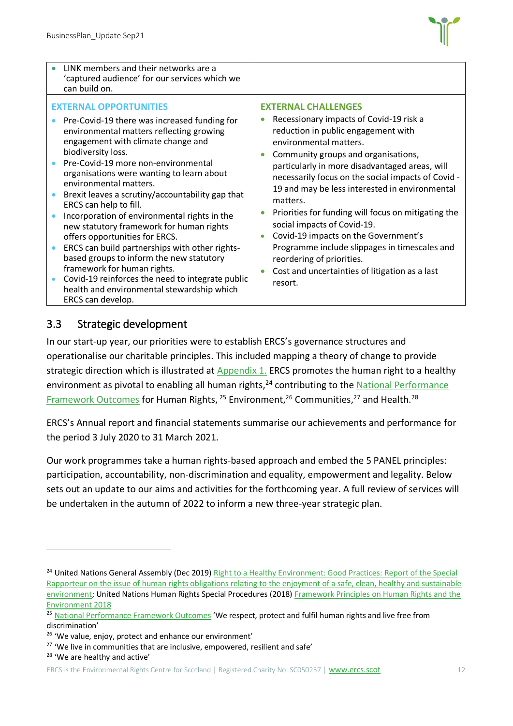

| LINK members and their networks are a<br>'captured audience' for our services which we<br>can build on.                                                                                                                                                                                                                                                                                                                                                                                                                                                                                                                                                                                                                                                             |                                                                                                                                                                                                                                                                                                                                                                                                                                                                                                                                                                                                                              |
|---------------------------------------------------------------------------------------------------------------------------------------------------------------------------------------------------------------------------------------------------------------------------------------------------------------------------------------------------------------------------------------------------------------------------------------------------------------------------------------------------------------------------------------------------------------------------------------------------------------------------------------------------------------------------------------------------------------------------------------------------------------------|------------------------------------------------------------------------------------------------------------------------------------------------------------------------------------------------------------------------------------------------------------------------------------------------------------------------------------------------------------------------------------------------------------------------------------------------------------------------------------------------------------------------------------------------------------------------------------------------------------------------------|
| <b>EXTERNAL OPPORTUNITIES</b><br>Pre-Covid-19 there was increased funding for<br>environmental matters reflecting growing<br>engagement with climate change and<br>biodiversity loss.<br>Pre-Covid-19 more non-environmental<br>organisations were wanting to learn about<br>environmental matters.<br>Brexit leaves a scrutiny/accountability gap that<br>ERCS can help to fill.<br>Incorporation of environmental rights in the<br>new statutory framework for human rights<br>offers opportunities for ERCS.<br>ERCS can build partnerships with other rights-<br>based groups to inform the new statutory<br>framework for human rights.<br>Covid-19 reinforces the need to integrate public<br>health and environmental stewardship which<br>ERCS can develop. | <b>EXTERNAL CHALLENGES</b><br>Recessionary impacts of Covid-19 risk a<br>reduction in public engagement with<br>environmental matters.<br>Community groups and organisations,<br>particularly in more disadvantaged areas, will<br>necessarily focus on the social impacts of Covid -<br>19 and may be less interested in environmental<br>matters.<br>Priorities for funding will focus on mitigating the<br>social impacts of Covid-19.<br>Covid-19 impacts on the Government's<br>Programme include slippages in timescales and<br>reordering of priorities.<br>Cost and uncertainties of litigation as a last<br>resort. |

#### <span id="page-12-0"></span>3.3 Strategic development

In our start-up year, our priorities were to establish ERCS's governance structures and operationalise our charitable principles. This included mapping a theory of change to provide strategic direction which is illustrated at Appendix 1. ERCS promotes the human right to a healthy environment as pivotal to enabling all human rights,<sup>24</sup> contributing to the National Performance [Framework Outcomes](https://nationalperformance.gov.scot/) for Human Rights, <sup>25</sup> Environment, <sup>26</sup> Communities, <sup>27</sup> and Health. <sup>28</sup>

ERCS's Annual report and financial statements summarise our achievements and performance for the period 3 July 2020 to 31 March 2021.

Our work programmes take a human rights-based approach and embed the 5 PANEL principles: participation, accountability, non-discrimination and equality, empowerment and legality. Below sets out an update to our aims and activities for the forthcoming year. A full review of services will be undertaken in the autumn of 2022 to inform a new three-year strategic plan.

<sup>&</sup>lt;sup>24</sup> United Nations General Assembly (Dec 2019) Right to a Healthy Environment: Good Practices: Report of the Special [Rapporteur on the issue of human rights obligations relating to the enjoyment of a safe, clean, healthy and sustainable](https://undocs.org/A/HRC/43/53)  [environment;](https://undocs.org/A/HRC/43/53) United Nations Human Rights Special Procedures (2018[\) Framework Principles on Human Rights and the](https://www.ohchr.org/Documents/Issues/Environment/SREnvironment/FrameworkPrinciplesUserFriendlyVersion.pdf)  [Environment 2018](https://www.ohchr.org/Documents/Issues/Environment/SREnvironment/FrameworkPrinciplesUserFriendlyVersion.pdf)

<sup>&</sup>lt;sup>25</sup> [National Performance Framework Outcomes](https://nationalperformance.gov.scot/) 'We respect, protect and fulfil human rights and live free from discrimination'

<sup>&</sup>lt;sup>26</sup> 'We value, enjoy, protect and enhance our environment'

<sup>&</sup>lt;sup>27</sup> 'We live in communities that are inclusive, empowered, resilient and safe'

<sup>28</sup> 'We are healthy and active'

ERCS is the Environmental Rights Centre for Scotland | Registered Charity No: SC050257 | [www.ercs.scot](http://www.ercs.scot/) 12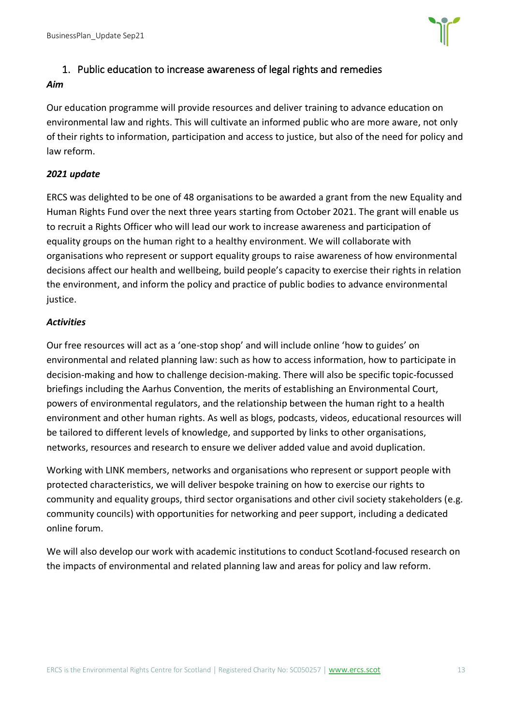BusinessPlan\_Update Sep21



#### 1. Public education to increase awareness of legal rights and remedies

#### *Aim*

Our education programme will provide resources and deliver training to advance education on environmental law and rights. This will cultivate an informed public who are more aware, not only of their rights to information, participation and access to justice, but also of the need for policy and law reform.

#### *2021 update*

ERCS was delighted to be one of 48 organisations to be awarded a grant from the new Equality and Human Rights Fund over the next three years starting from October 2021. The grant will enable us to recruit a Rights Officer who will lead our work to increase awareness and participation of equality groups on the human right to a healthy environment. We will collaborate with organisations who represent or support equality groups to raise awareness of how environmental decisions affect our health and wellbeing, build people's capacity to exercise their rights in relation the environment, and inform the policy and practice of public bodies to advance environmental justice.

#### *Activities*

Our free resources will act as a 'one-stop shop' and will include online 'how to guides' on environmental and related planning law: such as how to access information, how to participate in decision-making and how to challenge decision-making. There will also be specific topic-focussed briefings including the Aarhus Convention, the merits of establishing an Environmental Court, powers of environmental regulators, and the relationship between the human right to a health environment and other human rights. As well as blogs, podcasts, videos, educational resources will be tailored to different levels of knowledge, and supported by links to other organisations, networks, resources and research to ensure we deliver added value and avoid duplication.

Working with LINK members, networks and organisations who represent or support people with protected characteristics, we will deliver bespoke training on how to exercise our rights to community and equality groups, third sector organisations and other civil society stakeholders (e.g. community councils) with opportunities for networking and peer support, including a dedicated online forum.

We will also develop our work with academic institutions to conduct Scotland-focused research on the impacts of environmental and related planning law and areas for policy and law reform.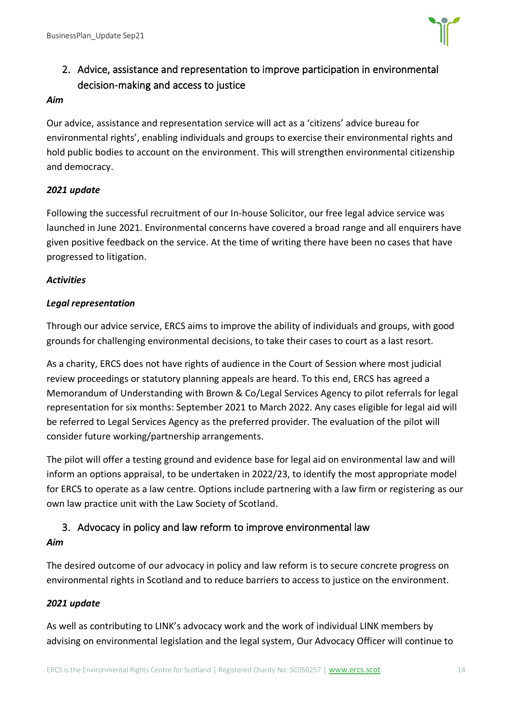

## 2. Advice, assistance and representation to improve participation in environmental decision-making and access to justice

#### *Aim*

Our advice, assistance and representation service will act as a 'citizens' advice bureau for environmental rights', enabling individuals and groups to exercise their environmental rights and hold public bodies to account on the environment. This will strengthen environmental citizenship and democracy.

#### *2021 update*

Following the successful recruitment of our In-house Solicitor, our free legal advice service was launched in June 2021. Environmental concerns have covered a broad range and all enquirers have given positive feedback on the service. At the time of writing there have been no cases that have progressed to litigation.

#### *Activities*

#### *Legal representation*

Through our advice service, ERCS aims to improve the ability of individuals and groups, with good grounds for challenging environmental decisions, to take their cases to court as a last resort.

As a charity, ERCS does not have rights of audience in the Court of Session where most judicial review proceedings or statutory planning appeals are heard. To this end, ERCS has agreed a Memorandum of Understanding with Brown & Co/Legal Services Agency to pilot referrals for legal representation for six months: September 2021 to March 2022. Any cases eligible for legal aid will be referred to Legal Services Agency as the preferred provider. The evaluation of the pilot will consider future working/partnership arrangements.

The pilot will offer a testing ground and evidence base for legal aid on environmental law and will inform an options appraisal, to be undertaken in 2022/23, to identify the most appropriate model for ERCS to operate as a law centre. Options include partnering with a law firm or registering as our own law practice unit with the Law Society of Scotland.

#### 3. Advocacy in policy and law reform to improve environmental law

#### *Aim*

The desired outcome of our advocacy in policy and law reform is to secure concrete progress on environmental rights in Scotland and to reduce barriers to access to justice on the environment.

## *2021 update*

As well as contributing to LINK's advocacy work and the work of individual LINK members by advising on environmental legislation and the legal system, Our Advocacy Officer will continue to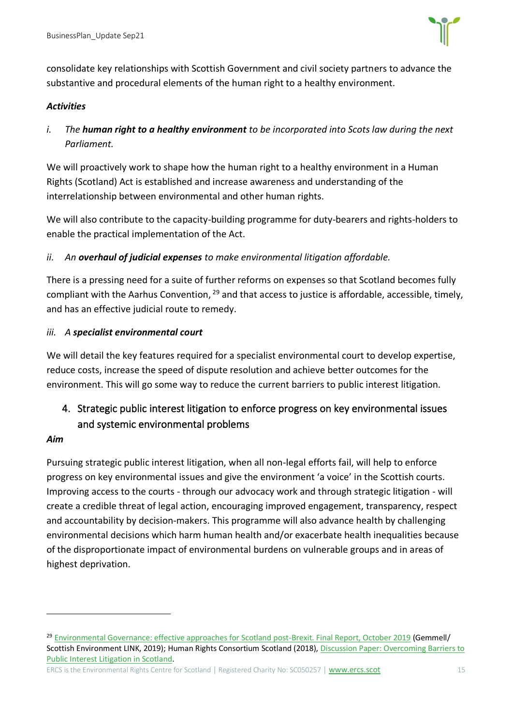

consolidate key relationships with Scottish Government and civil society partners to advance the substantive and procedural elements of the human right to a healthy environment.

#### *Activities*

*i. The human right to a healthy environment to be incorporated into Scots law during the next Parliament.* 

We will proactively work to shape how the human right to a healthy environment in a Human Rights (Scotland) Act is established and increase awareness and understanding of the interrelationship between environmental and other human rights.

We will also contribute to the capacity-building programme for duty-bearers and rights-holders to enable the practical implementation of the Act.

#### *ii. An overhaul of judicial expenses to make environmental litigation affordable.*

There is a pressing need for a suite of further reforms on expenses so that Scotland becomes fully compliant with the Aarhus Convention, <sup>29</sup> and that access to justice is affordable, accessible, timely, and has an effective judicial route to remedy.

#### *iii. A specialist environmental court*

We will detail the key features required for a specialist environmental court to develop expertise, reduce costs, increase the speed of dispute resolution and achieve better outcomes for the environment. This will go some way to reduce the current barriers to public interest litigation.

## 4. Strategic public interest litigation to enforce progress on key environmental issues and systemic environmental problems

#### *Aim*

Pursuing strategic public interest litigation, when all non-legal efforts fail, will help to enforce progress on key environmental issues and give the environment 'a voice' in the Scottish courts. Improving access to the courts - through our advocacy work and through strategic litigation - will create a credible threat of legal action, encouraging improved engagement, transparency, respect and accountability by decision-makers. This programme will also advance health by challenging environmental decisions which harm human health and/or exacerbate health inequalities because of the disproportionate impact of environmental burdens on vulnerable groups and in areas of highest deprivation.

<sup>&</sup>lt;sup>29</sup> [Environmental Governance: effective approaches for Scotland post-Brexit. Final Report, October 2019](https://www.scotlink.org/wp-content/uploads/2019/12/REPORT-Environmental-Governance-effective-approaches-for-Scotland-post-Brexit-OCT-2019.pdf) (Gemmell/ Scottish Environment LINK, 2019); Human Rights Consortium Scotland (2018)[, Discussion Paper: Overcoming Barriers to](https://foe.scot/wp-content/uploads/2018/11/Final-Overcoming-Barriers-to-PIL-in-Scotlnd-web-version.pdf)  [Public Interest Litigation in Scotland.](https://foe.scot/wp-content/uploads/2018/11/Final-Overcoming-Barriers-to-PIL-in-Scotlnd-web-version.pdf)

ERCS is the Environmental Rights Centre for Scotland | Registered Charity No: SC050257 | [www.ercs.scot](http://www.ercs.scot/) 15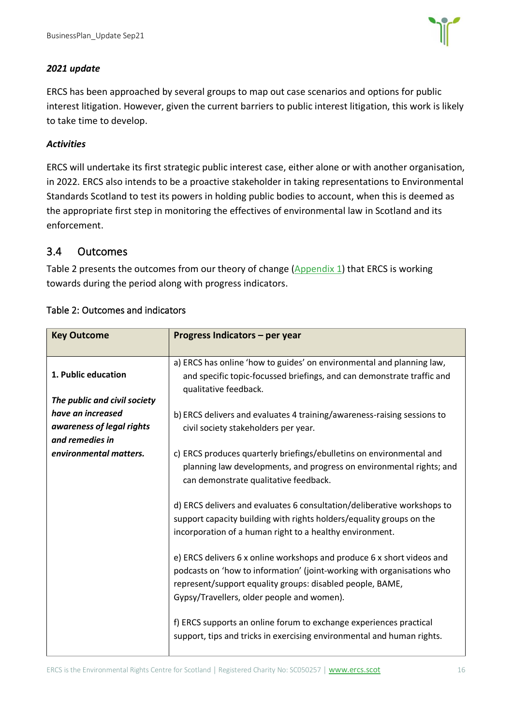

#### *2021 update*

ERCS has been approached by several groups to map out case scenarios and options for public interest litigation. However, given the current barriers to public interest litigation, this work is likely to take time to develop.

#### *Activities*

ERCS will undertake its first strategic public interest case, either alone or with another organisation, in 2022. ERCS also intends to be a proactive stakeholder in taking representations to Environmental Standards Scotland to test its powers in holding public bodies to account, when this is deemed as the appropriate first step in monitoring the effectives of environmental law in Scotland and its enforcement.

#### <span id="page-16-0"></span>3.4 Outcomes

Table 2 presents the outcomes from our theory of change (Appendix 1) that ERCS is working towards during the period along with progress indicators.

| <b>Key Outcome</b>                           | Progress Indicators - per year                                                                                                                                                                                                                              |  |  |  |
|----------------------------------------------|-------------------------------------------------------------------------------------------------------------------------------------------------------------------------------------------------------------------------------------------------------------|--|--|--|
| 1. Public education                          | a) ERCS has online 'how to guides' on environmental and planning law,<br>and specific topic-focussed briefings, and can demonstrate traffic and<br>qualitative feedback.                                                                                    |  |  |  |
| The public and civil society                 |                                                                                                                                                                                                                                                             |  |  |  |
| have an increased                            | b) ERCS delivers and evaluates 4 training/awareness-raising sessions to                                                                                                                                                                                     |  |  |  |
| awareness of legal rights<br>and remedies in | civil society stakeholders per year.                                                                                                                                                                                                                        |  |  |  |
| environmental matters.                       | c) ERCS produces quarterly briefings/ebulletins on environmental and<br>planning law developments, and progress on environmental rights; and<br>can demonstrate qualitative feedback.                                                                       |  |  |  |
|                                              | d) ERCS delivers and evaluates 6 consultation/deliberative workshops to<br>support capacity building with rights holders/equality groups on the<br>incorporation of a human right to a healthy environment.                                                 |  |  |  |
|                                              | e) ERCS delivers 6 x online workshops and produce 6 x short videos and<br>podcasts on 'how to information' (joint-working with organisations who<br>represent/support equality groups: disabled people, BAME,<br>Gypsy/Travellers, older people and women). |  |  |  |
|                                              | f) ERCS supports an online forum to exchange experiences practical<br>support, tips and tricks in exercising environmental and human rights.                                                                                                                |  |  |  |

#### Table 2: Outcomes and indicators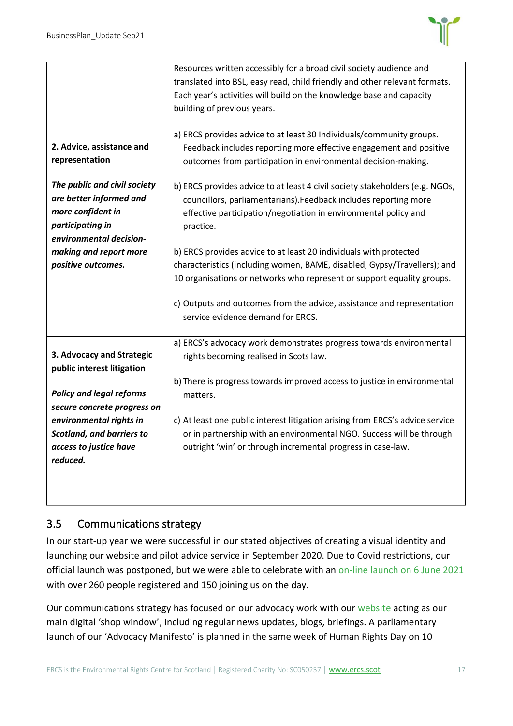

|                                  | Resources written accessibly for a broad civil society audience and           |  |  |  |
|----------------------------------|-------------------------------------------------------------------------------|--|--|--|
|                                  | translated into BSL, easy read, child friendly and other relevant formats.    |  |  |  |
|                                  | Each year's activities will build on the knowledge base and capacity          |  |  |  |
|                                  | building of previous years.                                                   |  |  |  |
|                                  |                                                                               |  |  |  |
|                                  | a) ERCS provides advice to at least 30 Individuals/community groups.          |  |  |  |
| 2. Advice, assistance and        | Feedback includes reporting more effective engagement and positive            |  |  |  |
| representation                   | outcomes from participation in environmental decision-making.                 |  |  |  |
|                                  |                                                                               |  |  |  |
| The public and civil society     | b) ERCS provides advice to at least 4 civil society stakeholders (e.g. NGOs,  |  |  |  |
| are better informed and          | councillors, parliamentarians). Feedback includes reporting more              |  |  |  |
| more confident in                | effective participation/negotiation in environmental policy and               |  |  |  |
| participating in                 | practice.                                                                     |  |  |  |
| environmental decision-          |                                                                               |  |  |  |
| making and report more           | b) ERCS provides advice to at least 20 individuals with protected             |  |  |  |
| positive outcomes.               | characteristics (including women, BAME, disabled, Gypsy/Travellers); and      |  |  |  |
|                                  |                                                                               |  |  |  |
|                                  | 10 organisations or networks who represent or support equality groups.        |  |  |  |
|                                  |                                                                               |  |  |  |
|                                  | c) Outputs and outcomes from the advice, assistance and representation        |  |  |  |
|                                  | service evidence demand for ERCS.                                             |  |  |  |
|                                  |                                                                               |  |  |  |
|                                  | a) ERCS's advocacy work demonstrates progress towards environmental           |  |  |  |
| 3. Advocacy and Strategic        | rights becoming realised in Scots law.                                        |  |  |  |
| public interest litigation       |                                                                               |  |  |  |
|                                  | b) There is progress towards improved access to justice in environmental      |  |  |  |
| <b>Policy and legal reforms</b>  | matters.                                                                      |  |  |  |
| secure concrete progress on      |                                                                               |  |  |  |
| environmental rights in          | c) At least one public interest litigation arising from ERCS's advice service |  |  |  |
| <b>Scotland, and barriers to</b> | or in partnership with an environmental NGO. Success will be through          |  |  |  |
| access to justice have           | outright 'win' or through incremental progress in case-law.                   |  |  |  |
| reduced.                         |                                                                               |  |  |  |
|                                  |                                                                               |  |  |  |
|                                  |                                                                               |  |  |  |
|                                  |                                                                               |  |  |  |

#### <span id="page-17-0"></span>3.5 Communications strategy

In our start-up year we were successful in our stated objectives of creating a visual identity and launching our website and pilot advice service in September 2020. Due to Covid restrictions, our official launch was postponed, but we were able to celebrate with an [on-line launch on 6 June 2021](https://www.youtube.com/watch?v=XRf90fu_IFA&feature=youtu.be) with over 260 people registered and 150 joining us on the day.

Our communications strategy has focused on our advocacy work with our [website](http://www.ercs.scot/) acting as our main digital 'shop window', including regular news updates, blogs, briefings. A parliamentary launch of our 'Advocacy Manifesto' is planned in the same week of Human Rights Day on 10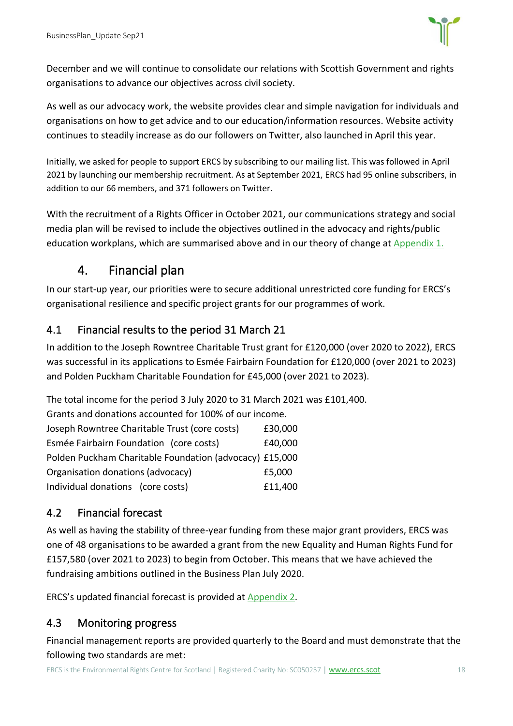

December and we will continue to consolidate our relations with Scottish Government and rights organisations to advance our objectives across civil society.

As well as our advocacy work, the website provides clear and simple navigation for individuals and organisations on how to get advice and to our education/information resources. Website activity continues to steadily increase as do our followers on Twitter, also launched in April this year.

Initially, we asked for people to support ERCS by subscribing to our mailing list. This was followed in April 2021 by launching our membership recruitment. As at September 2021, ERCS had 95 online subscribers, in addition to our 66 members, and 371 followers on Twitter.

With the recruitment of a Rights Officer in October 2021, our communications strategy and social media plan will be revised to include the objectives outlined in the advocacy and rights/public education workplans, which are summarised above and in our theory of change at [Appendix 1.](#page-21-0)

## 4. Financial plan

<span id="page-18-0"></span>In our start-up year, our priorities were to secure additional unrestricted core funding for ERCS's organisational resilience and specific project grants for our programmes of work.

## <span id="page-18-1"></span>4.1 Financial results to the period 31 March 21

In addition to the Joseph Rowntree Charitable Trust grant for £120,000 (over 2020 to 2022), ERCS was successful in its applications to Esmée Fairbairn Foundation for £120,000 (over 2021 to 2023) and Polden Puckham Charitable Foundation for £45,000 (over 2021 to 2023).

The total income for the period 3 July 2020 to 31 March 2021 was £101,400.

| Grants and donations accounted for 100% of our income.  |         |  |  |  |
|---------------------------------------------------------|---------|--|--|--|
| Joseph Rowntree Charitable Trust (core costs)           | £30,000 |  |  |  |
| Esmée Fairbairn Foundation (core costs)                 | £40,000 |  |  |  |
| Polden Puckham Charitable Foundation (advocacy) £15,000 |         |  |  |  |
| Organisation donations (advocacy)                       | £5,000  |  |  |  |
| Individual donations (core costs)                       | £11,400 |  |  |  |

## <span id="page-18-2"></span>4.2 Financial forecast

As well as having the stability of three-year funding from these major grant providers, ERCS was one of 48 organisations to be awarded a grant from the new Equality and Human Rights Fund for £157,580 (over 2021 to 2023) to begin from October. This means that we have achieved the fundraising ambitions outlined in the Business Plan July 2020.

ERCS's updated financial forecast is provided at Appendix 2.

## <span id="page-18-3"></span>4.3 Monitoring progress

Financial management reports are provided quarterly to the Board and must demonstrate that the following two standards are met: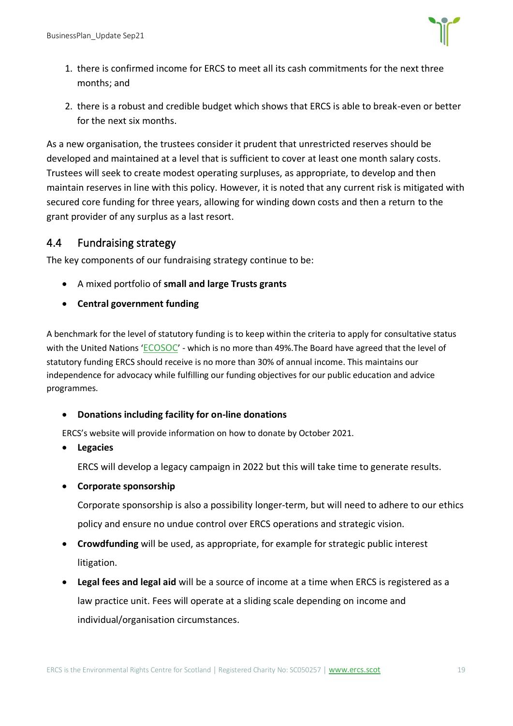

- 1. there is confirmed income for ERCS to meet all its cash commitments for the next three months; and
- 2. there is a robust and credible budget which shows that ERCS is able to break-even or better for the next six months.

As a new organisation, the trustees consider it prudent that unrestricted reserves should be developed and maintained at a level that is sufficient to cover at least one month salary costs. Trustees will seek to create modest operating surpluses, as appropriate, to develop and then maintain reserves in line with this policy. However, it is noted that any current risk is mitigated with secured core funding for three years, allowing for winding down costs and then a return to the grant provider of any surplus as a last resort.

#### <span id="page-19-0"></span>4.4 Fundraising strategy

The key components of our fundraising strategy continue to be:

- A mixed portfolio of **small and large Trusts grants**
- **Central government funding**

A benchmark for the level of statutory funding is to keep within the criteria to apply for consultative status with the United Nations '[ECOSOC](https://www.un.org/development/desa/dspd/civil-society/ecosoc-status.html)' - which is no more than 49%. The Board have agreed that the level of statutory funding ERCS should receive is no more than 30% of annual income. This maintains our independence for advocacy while fulfilling our funding objectives for our public education and advice programmes.

#### • **Donations including facility for on-line donations**

ERCS's website will provide information on how to donate by October 2021.

• **Legacies**

ERCS will develop a legacy campaign in 2022 but this will take time to generate results.

• **Corporate sponsorship**

Corporate sponsorship is also a possibility longer-term, but will need to adhere to our ethics policy and ensure no undue control over ERCS operations and strategic vision.

- **Crowdfunding** will be used, as appropriate, for example for strategic public interest litigation.
- **Legal fees and legal aid** will be a source of income at a time when ERCS is registered as a law practice unit. Fees will operate at a sliding scale depending on income and individual/organisation circumstances.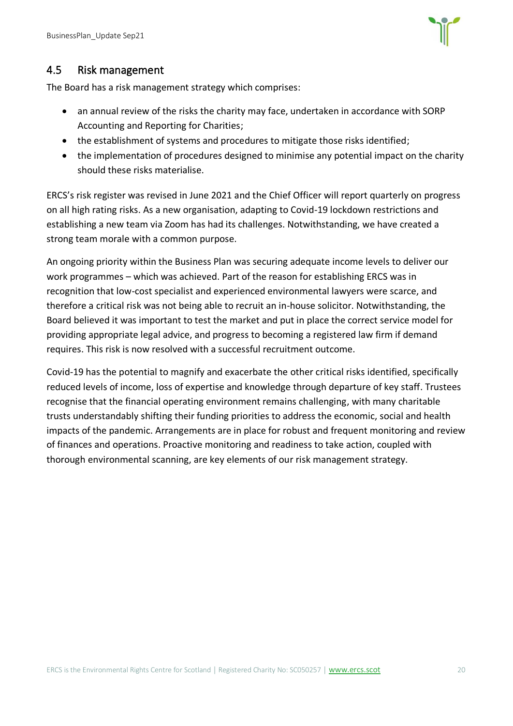

#### <span id="page-20-0"></span>4.5 Risk management

The Board has a risk management strategy which comprises:

- an annual review of the risks the charity may face, undertaken in accordance with SORP Accounting and Reporting for Charities;
- the establishment of systems and procedures to mitigate those risks identified;
- the implementation of procedures designed to minimise any potential impact on the charity should these risks materialise.

ERCS's risk register was revised in June 2021 and the Chief Officer will report quarterly on progress on all high rating risks. As a new organisation, adapting to Covid-19 lockdown restrictions and establishing a new team via Zoom has had its challenges. Notwithstanding, we have created a strong team morale with a common purpose.

An ongoing priority within the Business Plan was securing adequate income levels to deliver our work programmes – which was achieved. Part of the reason for establishing ERCS was in recognition that low-cost specialist and experienced environmental lawyers were scarce, and therefore a critical risk was not being able to recruit an in-house solicitor. Notwithstanding, the Board believed it was important to test the market and put in place the correct service model for providing appropriate legal advice, and progress to becoming a registered law firm if demand requires. This risk is now resolved with a successful recruitment outcome.

Covid-19 has the potential to magnify and exacerbate the other critical risks identified, specifically reduced levels of income, loss of expertise and knowledge through departure of key staff. Trustees recognise that the financial operating environment remains challenging, with many charitable trusts understandably shifting their funding priorities to address the economic, social and health impacts of the pandemic. Arrangements are in place for robust and frequent monitoring and review of finances and operations. Proactive monitoring and readiness to take action, coupled with thorough environmental scanning, are key elements of our risk management strategy.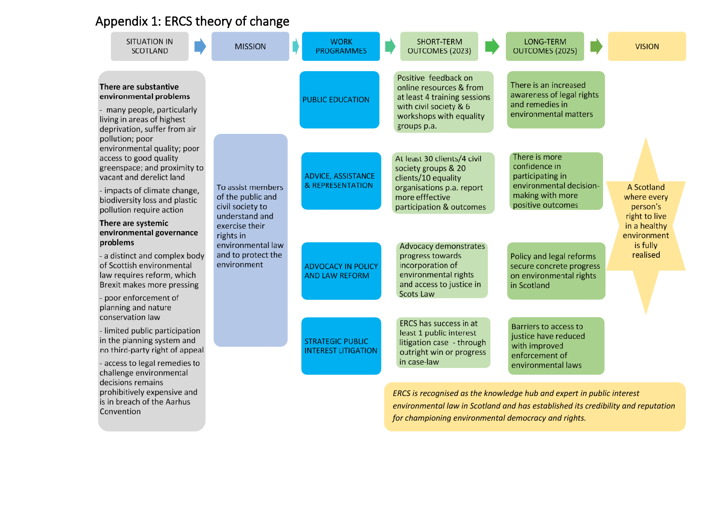## Appendix 1: ERCS theory of change

<span id="page-21-0"></span>